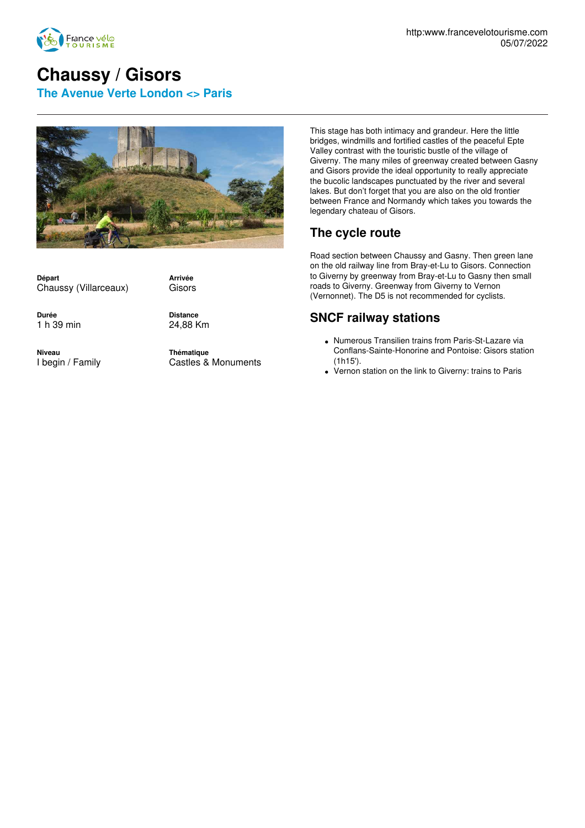

## **Chaussy / Gisors**

**The Avenue Verte London <> Paris**



**Départ** Chaussy (Villarceaux) **Arrivée** Gisors

**Durée** 1 h 39 min **Distance** 24,88 Km

**Niveau** I begin / Family **Thématique** Castles & Monuments

This stage has both intimacy and grandeur. Here the little bridges, windmills and fortified castles of the peaceful Epte Valley contrast with the touristic bustle of the village of Giverny. The many miles of greenway created between Gasny and Gisors provide the ideal opportunity to really appreciate the bucolic landscapes punctuated by the river and several lakes. But don't forget that you are also on the old frontier between France and Normandy which takes you towards the legendary chateau of Gisors.

## **The cycle route**

Road section between Chaussy and Gasny. Then green lane on the old railway line from Bray-et-Lu to Gisors. Connection to Giverny by greenway from Bray-et-Lu to Gasny then small roads to Giverny. Greenway from Giverny to Vernon (Vernonnet). The D5 is not recommended for cyclists.

## **SNCF railway stations**

- Numerous Transilien trains from Paris-St-Lazare via Conflans-Sainte-Honorine and Pontoise: Gisors station (1h15').
- Vernon station on the link to Giverny: trains to Paris